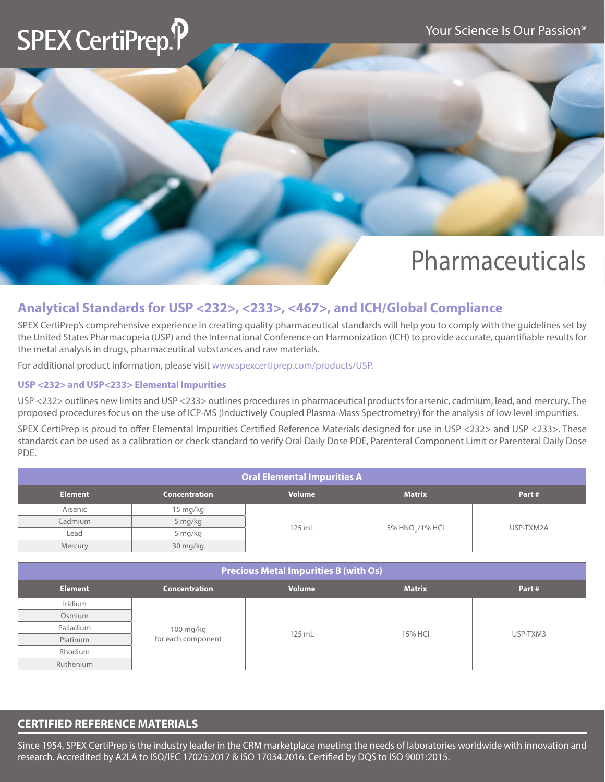## **SPEX CertiPrep.**

## Pharmaceuticals

### **Analytical Standards for USP <232>, <233>, <467>, and ICH/Global Compliance**

SPEX CertiPrep's comprehensive experience in creating quality pharmaceutical standards will help you to comply with the guidelines set by the United States Pharmacopeia (USP) and the International Conference on Harmonization (ICH) to provide accurate, quantifiable results for the metal analysis in drugs, pharmaceutical substances and raw materials.

For additional product information, please visit www.spexcertiprep.com/products/USP.

#### **USP <232> and USP<233> Elemental Impurities**

USP <232> outlines new limits and USP <233> outlines procedures in pharmaceutical products for arsenic, cadmium, lead, and mercury. The proposed procedures focus on the use of ICP-MS (Inductively Coupled Plasma-Mass Spectrometry) for the analysis of low level impurities.

SPEX CertiPrep is proud to offer Elemental Impurities Certified Reference Materials designed for use in USP <232> and USP <233>. These standards can be used as a calibration or check standard to verify Oral Daily Dose PDE, Parenteral Component Limit or Parenteral Daily Dose PDE.

| <b>Oral Elemental Impurities A</b>                                                |          |        |                 |           |  |  |  |
|-----------------------------------------------------------------------------------|----------|--------|-----------------|-----------|--|--|--|
| <b>Volume</b><br><b>Matrix</b><br><b>Element</b><br><b>Concentration</b><br>Part# |          |        |                 |           |  |  |  |
| Arsenic                                                                           | 15 mg/kg |        |                 |           |  |  |  |
| Cadmium                                                                           | 5 mg/kg  | 125 mL |                 | USP-TXM2A |  |  |  |
| Lead                                                                              | 5 mg/kg  |        | 5% HNO, /1% HCI |           |  |  |  |
| Mercury                                                                           | 30 mg/kg |        |                 |           |  |  |  |

| <b>Precious Metal Impurities B (with Os)</b> |                                 |               |               |          |  |  |
|----------------------------------------------|---------------------------------|---------------|---------------|----------|--|--|
| <b>Element</b>                               | <b>Concentration</b>            | <b>Volume</b> | <b>Matrix</b> | Part#    |  |  |
| Iridium                                      |                                 |               |               |          |  |  |
| Osmium                                       |                                 | 125 mL        | 15% HCI       | USP-TXM3 |  |  |
| Palladium                                    |                                 |               |               |          |  |  |
| Platinum                                     | 100 mg/kg<br>for each component |               |               |          |  |  |
| Rhodium                                      |                                 |               |               |          |  |  |
| Ruthenium                                    |                                 |               |               |          |  |  |

### **CERTIFIED REFERENCE MATERIALS**

Since 1954, SPEX CertiPrep is the industry leader in the CRM marketplace meeting the needs of laboratories worldwide with innovation and research. Accredited by A2LA to ISO/IEC 17025:2017 & ISO 17034:2016. Certified by DQS to ISO 9001:2015.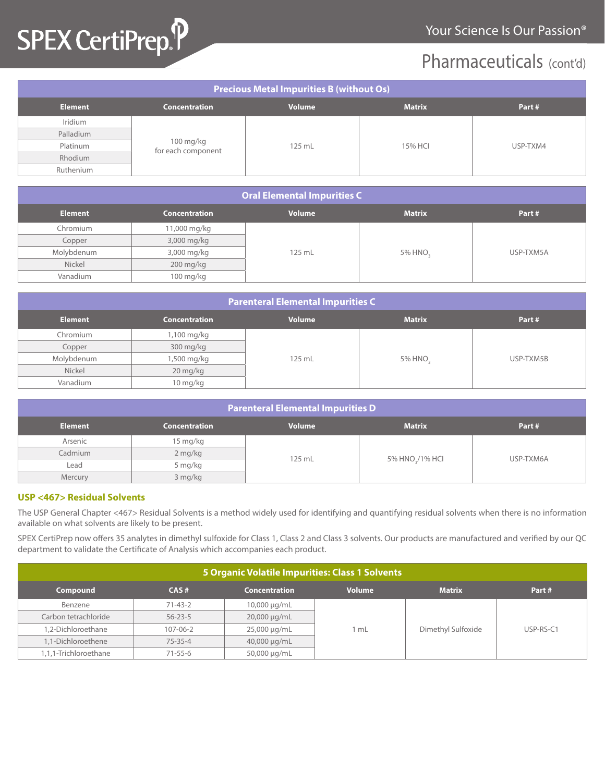## SPEX CertiPrep.P

### Pharmaceuticals (cont'd)

| <b>Precious Metal Impurities B (without Os)</b> |                                 |                   |               |          |  |  |
|-------------------------------------------------|---------------------------------|-------------------|---------------|----------|--|--|
| <b>Element</b>                                  | <b>Concentration</b>            | <b>Volume</b>     | <b>Matrix</b> | Part#    |  |  |
| Iridium                                         |                                 |                   |               |          |  |  |
| Palladium                                       |                                 | 15% HCI<br>125 mL |               | USP-TXM4 |  |  |
| Platinum                                        | 100 mg/kg<br>for each component |                   |               |          |  |  |
| Rhodium                                         |                                 |                   |               |          |  |  |
| Ruthenium                                       |                                 |                   |               |          |  |  |

| Oral Elemental Impurities C |                      |               |               |           |  |  |
|-----------------------------|----------------------|---------------|---------------|-----------|--|--|
| <b>Element</b>              | <b>Concentration</b> | <b>Volume</b> | <b>Matrix</b> | Part#     |  |  |
| Chromium                    | 11,000 mg/kg         |               |               |           |  |  |
| Copper                      | 3,000 mg/kg          |               |               |           |  |  |
| Molybdenum                  | 3,000 mg/kg          | 125 mL        | 5% HNO,       | USP-TXM5A |  |  |
| Nickel                      | $200$ mg/kg          |               |               |           |  |  |
| Vanadium                    | 100 mg/kg            |               |               |           |  |  |

| <b>Parenteral Elemental Impurities C</b>                                          |             |        |         |           |  |  |
|-----------------------------------------------------------------------------------|-------------|--------|---------|-----------|--|--|
| <b>Volume</b><br><b>Matrix</b><br><b>Element</b><br><b>Concentration</b><br>Part# |             |        |         |           |  |  |
| Chromium                                                                          | 1,100 mg/kg |        |         |           |  |  |
| Copper                                                                            | 300 mg/kg   |        |         | USP-TXM5B |  |  |
| Molybdenum                                                                        | 1,500 mg/kg | 125 mL | 5% HNO. |           |  |  |
| Nickel                                                                            | 20 mg/kg    |        |         |           |  |  |
| Vanadium                                                                          | 10 mg/kg    |        |         |           |  |  |

| <b>Parenteral Elemental Impurities D</b>                                          |          |        |                 |           |  |  |  |
|-----------------------------------------------------------------------------------|----------|--------|-----------------|-----------|--|--|--|
| <b>Matrix</b><br><b>Volume</b><br><b>Element</b><br><b>Concentration</b><br>Part# |          |        |                 |           |  |  |  |
| Arsenic                                                                           | 15 mg/kg |        |                 |           |  |  |  |
| Cadmium                                                                           | 2 mg/kg  | 125 mL |                 |           |  |  |  |
| Lead                                                                              | 5 mg/kg  |        | 5% HNO / 1% HCI | USP-TXM6A |  |  |  |
| Mercury                                                                           | 3 mg/kg  |        |                 |           |  |  |  |

#### **USP <467> Residual Solvents**

The USP General Chapter <467> Residual Solvents is a method widely used for identifying and quantifying residual solvents when there is no information available on what solvents are likely to be present.

SPEX CertiPrep now offers 35 analytes in dimethyl sulfoxide for Class 1, Class 2 and Class 3 solvents. Our products are manufactured and verified by our QC department to validate the Certificate of Analysis which accompanies each product.

| 5 Organic Volatile Impurities: Class 1 Solvents |                |                      |               |                    |           |  |
|-------------------------------------------------|----------------|----------------------|---------------|--------------------|-----------|--|
| <b>Compound</b>                                 | CAS#           | <b>Concentration</b> | <b>Volume</b> | <b>Matrix</b>      | Part#     |  |
| Benzene                                         | $71 - 43 - 2$  | $10,000 \mu g/mL$    |               |                    |           |  |
| Carbon tetrachloride                            | $56 - 23 - 5$  | 20,000 µg/mL         |               |                    |           |  |
| 1,2-Dichloroethane                              | $107 - 06 - 2$ | 25,000 µg/mL         | 1 mL          | Dimethyl Sulfoxide | USP-RS-C1 |  |
| 1,1-Dichloroethene                              | $75 - 35 - 4$  | 40,000 µg/mL         |               |                    |           |  |
| 1,1,1-Trichloroethane                           | $71 - 55 - 6$  | 50,000 µg/mL         |               |                    |           |  |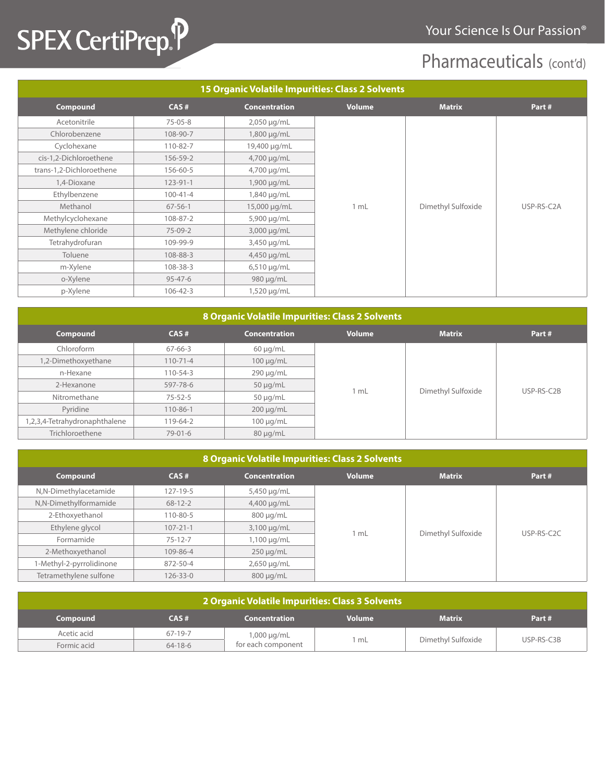# SPEX CertiPrep. P

### Pharmaceuticals (cont'd)

| <b>15 Organic Volatile Impurities: Class 2 Solvents</b> |                |                      |               |                    |            |  |  |
|---------------------------------------------------------|----------------|----------------------|---------------|--------------------|------------|--|--|
| Compound                                                | CAS#           | <b>Concentration</b> | <b>Volume</b> | <b>Matrix</b>      | Part#      |  |  |
| Acetonitrile                                            | $75 - 05 - 8$  | $2,050 \mu g/mL$     |               |                    |            |  |  |
| Chlorobenzene                                           | 108-90-7       | 1,800 µg/mL          |               |                    |            |  |  |
| Cyclohexane                                             | 110-82-7       | 19,400 µg/mL         |               |                    |            |  |  |
| cis-1,2-Dichloroethene                                  | 156-59-2       | 4,700 µg/mL          |               |                    |            |  |  |
| trans-1,2-Dichloroethene                                | 156-60-5       | 4,700 µg/mL          |               |                    |            |  |  |
| 1,4-Dioxane                                             | $123 - 91 - 1$ | 1,900 µg/mL          |               |                    |            |  |  |
| Ethylbenzene                                            | $100 - 41 - 4$ | 1,840 µg/mL          |               |                    |            |  |  |
| Methanol                                                | $67 - 56 - 1$  | 15,000 µg/mL         | 1 mL          | Dimethyl Sulfoxide | USP-RS-C2A |  |  |
| Methylcyclohexane                                       | 108-87-2       | 5,900 µg/mL          |               |                    |            |  |  |
| Methylene chloride                                      | 75-09-2        | 3,000 µg/mL          |               |                    |            |  |  |
| Tetrahydrofuran                                         | 109-99-9       | 3,450 µg/mL          |               |                    |            |  |  |
| Toluene                                                 | 108-88-3       | 4,450 µg/mL          |               |                    |            |  |  |
| m-Xylene                                                | 108-38-3       | $6,510 \mu g/mL$     |               |                    |            |  |  |
| o-Xylene                                                | $95 - 47 - 6$  | 980 µg/mL            |               |                    |            |  |  |
| p-Xylene                                                | $106 - 42 - 3$ | 1,520 µg/mL          |               |                    |            |  |  |

| 8 Organic Volatile Impurities: Class 2 Solvents |                |                      |               |                    |       |            |
|-------------------------------------------------|----------------|----------------------|---------------|--------------------|-------|------------|
| Compound                                        | CAS#           | <b>Concentration</b> | <b>Volume</b> | <b>Matrix</b>      | Part# |            |
| Chloroform                                      | 67-66-3        | $60 \mu q/mL$        |               |                    |       |            |
| 1,2-Dimethoxyethane                             | $110 - 71 - 4$ | $100 \mu g/mL$       |               |                    |       |            |
| n-Hexane                                        | 110-54-3       | $290 \mu g/mL$       |               |                    |       |            |
| 2-Hexanone                                      | 597-78-6       | $50 \mu g/mL$        |               |                    |       | USP-RS-C2B |
| Nitromethane                                    | $75 - 52 - 5$  | $50 \mu q/mL$        | 1 mL          | Dimethyl Sulfoxide |       |            |
| Pyridine                                        | $110 - 86 - 1$ | $200 \mu g/mL$       |               |                    |       |            |
| 1,2,3,4-Tetrahydronaphthalene                   | 119-64-2       | $100 \mu g/mL$       |               |                    |       |            |
| Trichloroethene                                 | $79 - 01 - 6$  | $80 \mu q/mL$        |               |                    |       |            |

| 8 Organic Volatile Impurities: Class 2 Solvents |                |                      |               |                    |                         |  |  |
|-------------------------------------------------|----------------|----------------------|---------------|--------------------|-------------------------|--|--|
| Compound                                        | CAS#           | <b>Concentration</b> | <b>Volume</b> | <b>Matrix</b>      | Part#                   |  |  |
| N,N-Dimethylacetamide                           | $127 - 19 - 5$ | 5,450 µg/mL          |               |                    |                         |  |  |
| N,N-Dimethylformamide                           | $68 - 12 - 2$  | $4,400 \mu g/mL$     |               |                    |                         |  |  |
| 2-Ethoxyethanol                                 | $110 - 80 - 5$ | $800 \mu q/mL$       |               |                    |                         |  |  |
| Ethylene glycol                                 | $107 - 21 - 1$ | $3,100 \mu g/mL$     | 1 mL          |                    | USP-RS-C <sub>2</sub> C |  |  |
| Formamide                                       | $75 - 12 - 7$  | 1,100 μg/mL          |               | Dimethyl Sulfoxide |                         |  |  |
| 2-Methoxyethanol                                | 109-86-4       | $250 \mu g/mL$       |               |                    |                         |  |  |
| 1-Methyl-2-pyrrolidinone                        | 872-50-4       | $2,650 \mu g/mL$     |               |                    |                         |  |  |
| Tetramethylene sulfone                          | $126 - 33 - 0$ | $800 \mu q/mL$       |               |                    |                         |  |  |

| 2 Organic Volatile Impurities: Class 3 Solvents                                     |               |                    |      |                    |            |  |
|-------------------------------------------------------------------------------------|---------------|--------------------|------|--------------------|------------|--|
| <b>Matrix</b><br>CAS#<br><b>Concentration</b><br><b>Volume</b><br>Part#<br>Compound |               |                    |      |                    |            |  |
| Acetic acid                                                                         | 67-19-7       | $1,000 \mu g/mL$   |      |                    |            |  |
| Formic acid                                                                         | $64 - 18 - 6$ | for each component | 1 mL | Dimethyl Sulfoxide | USP-RS-C3B |  |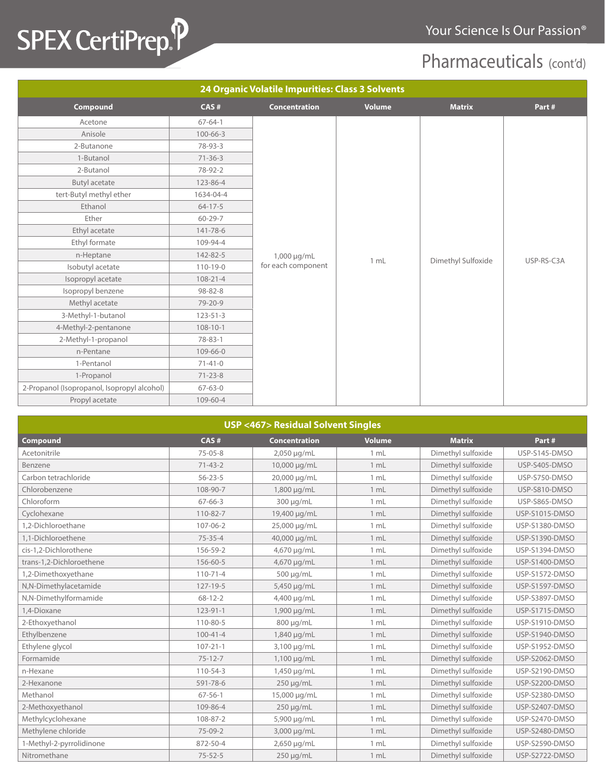# SPEX CertiPrep. P

### Pharmaceuticals (cont'd)

| 24 Organic Volatile Impurities: Class 3 Solvents |                |                      |               |                    |            |  |  |
|--------------------------------------------------|----------------|----------------------|---------------|--------------------|------------|--|--|
| Compound                                         | CAS#           | <b>Concentration</b> | <b>Volume</b> | <b>Matrix</b>      | Part#      |  |  |
| Acetone                                          | $67 - 64 - 1$  |                      |               |                    |            |  |  |
| Anisole                                          | $100 - 66 - 3$ |                      |               |                    |            |  |  |
| 2-Butanone                                       | 78-93-3        |                      |               |                    |            |  |  |
| 1-Butanol                                        | $71 - 36 - 3$  |                      |               |                    |            |  |  |
| 2-Butanol                                        | 78-92-2        |                      |               |                    |            |  |  |
| <b>Butyl acetate</b>                             | 123-86-4       |                      |               |                    |            |  |  |
| tert-Butyl methyl ether                          | 1634-04-4      |                      |               |                    |            |  |  |
| Ethanol                                          | $64 - 17 - 5$  |                      |               |                    |            |  |  |
| Ether                                            | $60 - 29 - 7$  |                      |               |                    |            |  |  |
| Ethyl acetate                                    | 141-78-6       |                      |               |                    |            |  |  |
| Ethyl formate                                    | 109-94-4       |                      |               |                    |            |  |  |
| n-Heptane                                        | 142-82-5       | 1,000 µg/mL          | 1 mL          | Dimethyl Sulfoxide | USP-RS-C3A |  |  |
| Isobutyl acetate                                 | $110 - 19 - 0$ | for each component   |               |                    |            |  |  |
| Isopropyl acetate                                | $108 - 21 - 4$ |                      |               |                    |            |  |  |
| Isopropyl benzene                                | $98 - 82 - 8$  |                      |               |                    |            |  |  |
| Methyl acetate                                   | 79-20-9        |                      |               |                    |            |  |  |
| 3-Methyl-1-butanol                               | $123 - 51 - 3$ |                      |               |                    |            |  |  |
| 4-Methyl-2-pentanone                             | $108 - 10 - 1$ |                      |               |                    |            |  |  |
| 2-Methyl-1-propanol                              | 78-83-1        |                      |               |                    |            |  |  |
| n-Pentane                                        | 109-66-0       |                      |               |                    |            |  |  |
| 1-Pentanol                                       | $71 - 41 - 0$  |                      |               |                    |            |  |  |
| 1-Propanol                                       | $71 - 23 - 8$  |                      |               |                    |            |  |  |
| 2-Propanol (Isopropanol, Isopropyl alcohol)      | $67 - 63 - 0$  |                      |               |                    |            |  |  |
| Propyl acetate                                   | 109-60-4       |                      |               |                    |            |  |  |

| <b>USP &lt;467&gt; Residual Solvent Singles</b>                                            |                |                |      |                    |                       |  |  |
|--------------------------------------------------------------------------------------------|----------------|----------------|------|--------------------|-----------------------|--|--|
| <b>Compound</b><br>CAS#<br><b>Concentration</b><br><b>Volume</b><br><b>Matrix</b><br>Part# |                |                |      |                    |                       |  |  |
| Acetonitrile                                                                               | $75 - 05 - 8$  | 2,050 µg/mL    | 1 mL | Dimethyl sulfoxide | USP-S145-DMSO         |  |  |
| Benzene                                                                                    | $71 - 43 - 2$  | 10,000 µg/mL   | 1 mL | Dimethyl sulfoxide | USP-S405-DMSO         |  |  |
| Carbon tetrachloride                                                                       | $56 - 23 - 5$  | 20,000 µg/mL   | 1 mL | Dimethyl sulfoxide | USP-S750-DMSO         |  |  |
| Chlorobenzene                                                                              | 108-90-7       | 1,800 µg/mL    | 1 mL | Dimethyl sulfoxide | USP-S810-DMSO         |  |  |
| Chloroform                                                                                 | $67 - 66 - 3$  | 300 µg/mL      | 1 mL | Dimethyl sulfoxide | USP-S865-DMSO         |  |  |
| Cyclohexane                                                                                | $110 - 82 - 7$ | 19,400 µg/mL   | 1 mL | Dimethyl sulfoxide | <b>USP-S1015-DMSO</b> |  |  |
| 1.2-Dichloroethane                                                                         | $107 - 06 - 2$ | 25,000 µg/mL   | 1 mL | Dimethyl sulfoxide | <b>USP-S1380-DMSO</b> |  |  |
| 1.1-Dichloroethene                                                                         | $75 - 35 - 4$  | 40,000 µg/mL   | 1 mL | Dimethyl sulfoxide | <b>USP-S1390-DMSO</b> |  |  |
| cis-1.2-Dichlorothene                                                                      | 156-59-2       | 4,670 µg/mL    | 1 mL | Dimethyl sulfoxide | <b>USP-S1394-DMSO</b> |  |  |
| trans-1,2-Dichloroethene                                                                   | 156-60-5       | 4,670 µg/mL    | 1 mL | Dimethyl sulfoxide | <b>USP-S1400-DMSO</b> |  |  |
| 1,2-Dimethoxyethane                                                                        | $110 - 71 - 4$ | 500 µg/mL      | 1 mL | Dimethyl sulfoxide | USP-S1572-DMSO        |  |  |
| N,N-Dimethylacetamide                                                                      | $127 - 19 - 5$ | 5,450 µg/mL    | 1 mL | Dimethyl sulfoxide | <b>USP-S1597-DMSO</b> |  |  |
| N,N-Dimethylformamide                                                                      | $68 - 12 - 2$  | 4,400 µg/mL    | 1 mL | Dimethyl sulfoxide | USP-S3897-DMSO        |  |  |
| 1.4-Dioxane                                                                                | $123 - 91 - 1$ | 1,900 µg/mL    | 1 mL | Dimethyl sulfoxide | <b>USP-S1715-DMSO</b> |  |  |
| 2-Ethoxyethanol                                                                            | 110-80-5       | 800 µg/mL      | 1 mL | Dimethyl sulfoxide | <b>USP-S1910-DMSO</b> |  |  |
| Ethylbenzene                                                                               | $100 - 41 - 4$ | 1,840 µg/mL    | 1 mL | Dimethyl sulfoxide | <b>USP-S1940-DMSO</b> |  |  |
| Ethylene glycol                                                                            | $107 - 21 - 1$ | 3,100 µg/mL    | 1 mL | Dimethyl sulfoxide | <b>USP-S1952-DMSO</b> |  |  |
| Formamide                                                                                  | $75 - 12 - 7$  | 1,100 µg/mL    | 1 mL | Dimethyl sulfoxide | <b>USP-S2062-DMSO</b> |  |  |
| n-Hexane                                                                                   | 110-54-3       | 1,450 µg/mL    | 1 mL | Dimethyl sulfoxide | USP-S2190-DMSO        |  |  |
| 2-Hexanone                                                                                 | 591-78-6       | 250 µg/mL      | 1 mL | Dimethyl sulfoxide | <b>USP-S2200-DMSO</b> |  |  |
| Methanol                                                                                   | $67 - 56 - 1$  | 15,000 µg/mL   | 1 mL | Dimethyl sulfoxide | <b>USP-S2380-DMSO</b> |  |  |
| 2-Methoxyethanol                                                                           | 109-86-4       | $250 \mu g/mL$ | 1 mL | Dimethyl sulfoxide | <b>USP-S2407-DMSO</b> |  |  |
| Methylcyclohexane                                                                          | 108-87-2       | 5,900 µg/mL    | 1 mL | Dimethyl sulfoxide | USP-S2470-DMSO        |  |  |
| Methylene chloride                                                                         | $75-09-2$      | 3,000 µg/mL    | 1 mL | Dimethyl sulfoxide | <b>USP-S2480-DMSO</b> |  |  |
| 1-Methyl-2-pyrrolidinone                                                                   | 872-50-4       | 2,650 µg/mL    | 1 mL | Dimethyl sulfoxide | <b>USP-S2590-DMSO</b> |  |  |
| Nitromethane                                                                               | $75 - 52 - 5$  | $250 \mu g/mL$ | 1 mL | Dimethyl sulfoxide | <b>USP-S2722-DMSO</b> |  |  |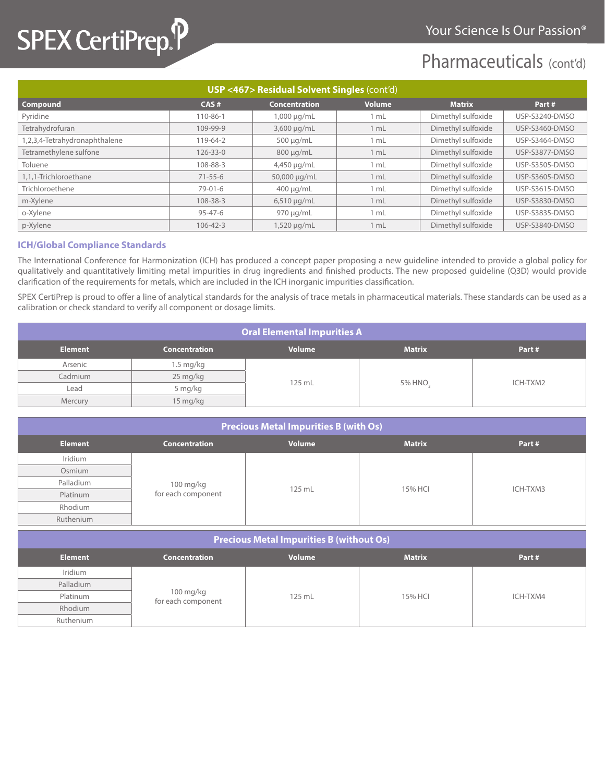## SPEX CertiPrep.P

### Pharmaceuticals (cont'd)

| <b>USP &lt;467&gt; Residual Solvent Singles (cont'd)</b> |                |                      |               |                    |                       |  |
|----------------------------------------------------------|----------------|----------------------|---------------|--------------------|-----------------------|--|
| Compound                                                 | CAS#           | <b>Concentration</b> | <b>Volume</b> | <b>Matrix</b>      | Part#                 |  |
| Pyridine                                                 | 110-86-1       | 1,000 µg/mL          | 1 mL          | Dimethyl sulfoxide | USP-S3240-DMSO        |  |
| Tetrahydrofuran                                          | 109-99-9       | 3,600 µg/mL          | 1 mL          | Dimethyl sulfoxide | USP-S3460-DMSO        |  |
| 1,2,3,4-Tetrahydronaphthalene                            | 119-64-2       | $500 \mu q/mL$       | 1 mL          | Dimethyl sulfoxide | USP-S3464-DMSO        |  |
| Tetramethylene sulfone                                   | 126-33-0       | $800 \mu q/mL$       | 1 mL          | Dimethyl sulfoxide | <b>USP-S3877-DMSO</b> |  |
| Toluene                                                  | 108-88-3       | 4,450 µg/mL          | 1 mL          | Dimethyl sulfoxide | USP-S3505-DMSO        |  |
| 1.1.1-Trichloroethane                                    | $71 - 55 - 6$  | 50,000 µg/mL         | 1 mL          | Dimethyl sulfoxide | <b>USP-S3605-DMSO</b> |  |
| Trichloroethene                                          | $79 - 01 - 6$  | $400 \mu q/mL$       | 1 mL          | Dimethyl sulfoxide | USP-S3615-DMSO        |  |
| m-Xylene                                                 | 108-38-3       | $6,510 \mu g/mL$     | 1 mL          | Dimethyl sulfoxide | <b>USP-S3830-DMSO</b> |  |
| o-Xylene                                                 | $95 - 47 - 6$  | $970 \mu q/mL$       | 1 mL          | Dimethyl sulfoxide | <b>USP-S3835-DMSO</b> |  |
| p-Xylene                                                 | $106 - 42 - 3$ | 1,520 µg/mL          | 1 mL          | Dimethyl sulfoxide | USP-S3840-DMSO        |  |

#### **ICH/Global Compliance Standards**

The International Conference for Harmonization (ICH) has produced a concept paper proposing a new guideline intended to provide a global policy for qualitatively and quantitatively limiting metal impurities in drug ingredients and finished products. The new proposed guideline (Q3D) would provide clarification of the requirements for metals, which are included in the ICH inorganic impurities classification.

SPEX CertiPrep is proud to offer a line of analytical standards for the analysis of trace metals in pharmaceutical materials. These standards can be used as a calibration or check standard to verify all component or dosage limits.

| <b>Oral Elemental Impurities A</b> |                      |               |               |          |  |
|------------------------------------|----------------------|---------------|---------------|----------|--|
| <b>Element</b>                     | <b>Concentration</b> | <b>Volume</b> | <b>Matrix</b> | Part#    |  |
| Arsenic                            | 1.5 mg/kg            | 125 mL        | 5% HNO.       | ICH-TXM2 |  |
| Cadmium                            | 25 mg/kg             |               |               |          |  |
| Lead                               | 5 mg/kg              |               |               |          |  |
| Mercury                            | 15 mg/kg             |               |               |          |  |

| <b>Precious Metal Impurities B (with Os)</b> |                                 |               |               |          |  |
|----------------------------------------------|---------------------------------|---------------|---------------|----------|--|
| <b>Element</b>                               | <b>Concentration</b>            | <b>Volume</b> | <b>Matrix</b> | Part#    |  |
| Iridium                                      |                                 |               |               |          |  |
| Osmium                                       | 100 mg/kg<br>for each component | 125 mL        | 15% HCI       | ICH-TXM3 |  |
| Palladium                                    |                                 |               |               |          |  |
| Platinum                                     |                                 |               |               |          |  |
| Rhodium                                      |                                 |               |               |          |  |
| Ruthenium                                    |                                 |               |               |          |  |

| <b>Precious Metal Impurities B (without Os)</b> |                                 |               |               |          |  |
|-------------------------------------------------|---------------------------------|---------------|---------------|----------|--|
| <b>Element</b>                                  | <b>Concentration</b>            | <b>Volume</b> | <b>Matrix</b> | Part#    |  |
| Iridium                                         |                                 |               |               |          |  |
| Palladium                                       | 100 mg/kg<br>for each component | 125 mL        | 15% HCI       | ICH-TXM4 |  |
| Platinum                                        |                                 |               |               |          |  |
| Rhodium                                         |                                 |               |               |          |  |
| Ruthenium                                       |                                 |               |               |          |  |